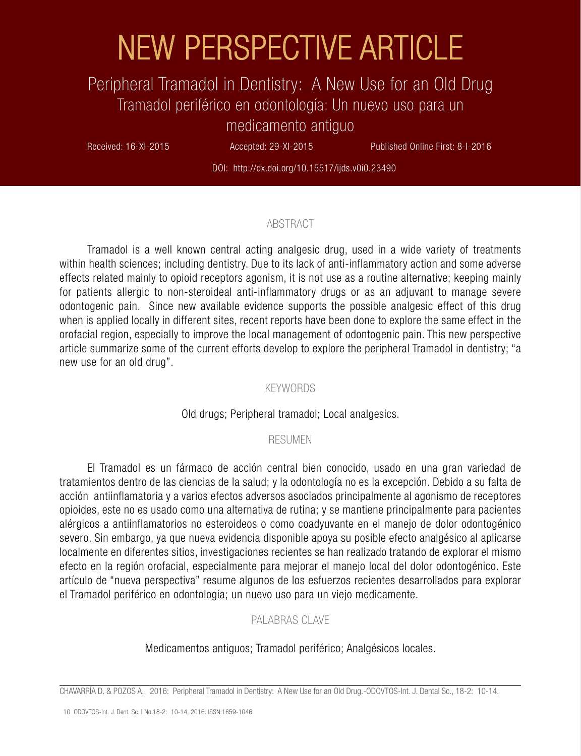# NEW PERSPECTIVE ARTICLE

# Peripheral Tramadol in Dentistry: A New Use for an Old Drug Tramadol periférico en odontología: Un nuevo uso para un medicamento antiguo

Received: 16-XI-2015 Accepted: 29-XI-2015 Published Online First: 8-I-2016

DOI: http://dx.doi.org/10.15517/ijds.v0i0.23490

#### ABSTRACT

Tramadol is a well known central acting analgesic drug, used in a wide variety of treatments within health sciences; including dentistry. Due to its lack of anti-inflammatory action and some adverse effects related mainly to opioid receptors agonism, it is not use as a routine alternative; keeping mainly for patients allergic to non-steroideal anti-inflammatory drugs or as an adjuvant to manage severe odontogenic pain. Since new available evidence supports the possible analgesic effect of this drug when is applied locally in different sites, recent reports have been done to explore the same effect in the orofacial region, especially to improve the local management of odontogenic pain. This new perspective article summarize some of the current efforts develop to explore the peripheral Tramadol in dentistry; "a new use for an old drug".

#### KEYWORDS

#### Old drugs; Peripheral tramadol; Local analgesics.

#### RESUMEN

El Tramadol es un fármaco de acción central bien conocido, usado en una gran variedad de tratamientos dentro de las ciencias de la salud; y la odontología no es la excepción. Debido a su falta de acción antiinflamatoria y a varios efectos adversos asociados principalmente al agonismo de receptores opioides, este no es usado como una alternativa de rutina; y se mantiene principalmente para pacientes alérgicos a antiinflamatorios no esteroideos o como coadyuvante en el manejo de dolor odontogénico severo. Sin embargo, ya que nueva evidencia disponible apoya su posible efecto analgésico al aplicarse localmente en diferentes sitios, investigaciones recientes se han realizado tratando de explorar el mismo efecto en la región orofacial, especialmente para mejorar el manejo local del dolor odontogénico. Este artículo de "nueva perspectiva" resume algunos de los esfuerzos recientes desarrollados para explorar el Tramadol periférico en odontología; un nuevo uso para un viejo medicamente.

## PALABRAS CLAVE

## Medicamentos antiguos; Tramadol periférico; Analgésicos locales.

CHAVARRÍA D. & POZOS A., 2016: Peripheral Tramadol in Dentistry: A New Use for an Old Drug.-ODOVTOS-Int. J. Dental Sc., 18-2: 10-14.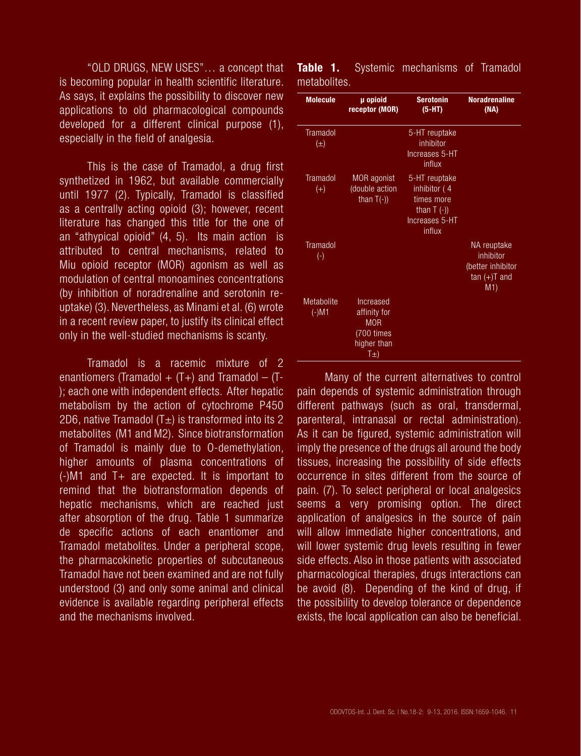"OLD DRUGS, NEW USES"… a concept that is becoming popular in health scientific literature. As says, it explains the possibility to discover new applications to old pharmacological compounds developed for a different clinical purpose (1), especially in the field of analgesia.

This is the case of Tramadol, a drug first synthetized in 1962, but available commercially until 1977 (2). Typically, Tramadol is classified as a centrally acting opioid (3); however, recent literature has changed this title for the one of an "athypical opioid" (4, 5). Its main action is attributed to central mechanisms, related to Miu opioid receptor (MOR) agonism as well as modulation of central monoamines concentrations (by inhibition of noradrenaline and serotonin reuptake) (3). Nevertheless, as Minami et al. (6) wrote in a recent review paper, to justify its clinical effect only in the well-studied mechanisms is scanty.

Tramadol is a racemic mixture of 2 enantiomers (Tramadol +  $(T+)$  and Tramadol –  $(T-)$ ); each one with independent effects. After hepatic metabolism by the action of cytochrome P450 2D6, native Tramadol  $(T<sub>±</sub>)$  is transformed into its 2 metabolites (M1 and M2). Since biotransformation of Tramadol is mainly due to O-demethylation, higher amounts of plasma concentrations of (-)M1 and T+ are expected. It is important to remind that the biotransformation depends of hepatic mechanisms, which are reached just after absorption of the drug. Table 1 summarize de specific actions of each enantiomer and Tramadol metabolites. Under a peripheral scope, the pharmacokinetic properties of subcutaneous Tramadol have not been examined and are not fully understood (3) and only some animal and clinical evidence is available regarding peripheral effects and the mechanisms involved.

| <b>Molecule</b>              | µ opioid<br>receptor (MOR)                                                                 | <b>Serotonin</b><br>$(5-HT)$                                                             | <b>Noradrenaline</b><br>(NA)                                          |
|------------------------------|--------------------------------------------------------------------------------------------|------------------------------------------------------------------------------------------|-----------------------------------------------------------------------|
| Tramadol<br>$(\pm)$          |                                                                                            | 5-HT reuptake<br>inhibitor<br>Increases 5-HT<br>influx                                   |                                                                       |
| <b>Tramadol</b><br>$(+)$     | <b>MOR</b> agonist<br>(double action<br>than $T(-)$ )                                      | 5-HT reuptake<br>inhibitor (4<br>times more<br>than $T$ (-))<br>Increases 5-HT<br>influx |                                                                       |
| <b>Tramadol</b><br>$(\cdot)$ |                                                                                            |                                                                                          | NA reuptake<br>inhibitor<br>(better inhibitor<br>$tan (+)T$ and<br>M1 |
| Metabolite<br>$(-)$ M1       | Increased<br>affinity for<br><b>MOR</b><br>(700 times<br>higher than<br>$\overline{I\pm)}$ |                                                                                          |                                                                       |

**Table 1.** Systemic mechanisms of Tramadol metabolites.

Many of the current alternatives to control pain depends of systemic administration through different pathways (such as oral, transdermal, parenteral, intranasal or rectal administration). As it can be figured, systemic administration will imply the presence of the drugs all around the body tissues, increasing the possibility of side effects occurrence in sites different from the source of pain. (7). To select peripheral or local analgesics seems a very promising option. The direct application of analgesics in the source of pain will allow immediate higher concentrations, and will lower systemic drug levels resulting in fewer side effects. Also in those patients with associated pharmacological therapies, drugs interactions can be avoid (8). Depending of the kind of drug, if the possibility to develop tolerance or dependence exists, the local application can also be beneficial.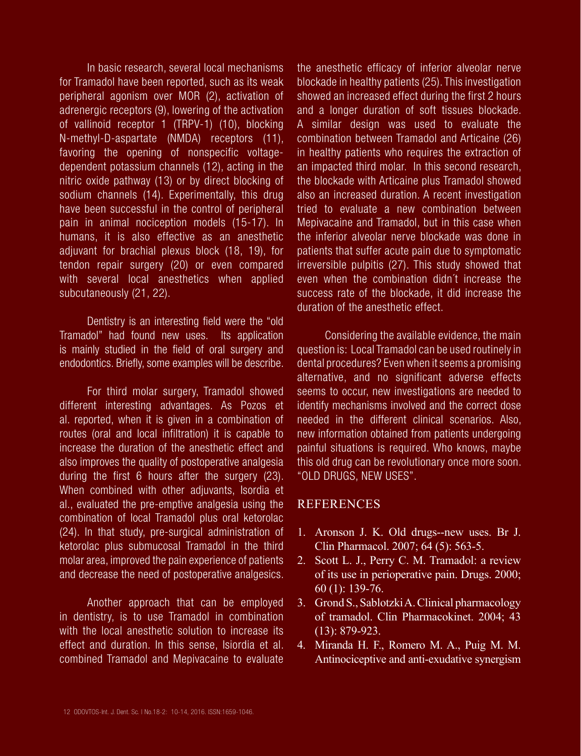In basic research, several local mechanisms for Tramadol have been reported, such as its weak peripheral agonism over MOR (2), activation of adrenergic receptors (9), lowering of the activation of vallinoid receptor 1 (TRPV-1) (10), blocking N-methyl-D-aspartate (NMDA) receptors (11), favoring the opening of nonspecific voltagedependent potassium channels (12), acting in the nitric oxide pathway (13) or by direct blocking of sodium channels (14). Experimentally, this drug have been successful in the control of peripheral pain in animal nociception models (15-17). In humans, it is also effective as an anesthetic adjuvant for brachial plexus block (18, 19), for tendon repair surgery (20) or even compared with several local anesthetics when applied subcutaneously (21, 22).

Dentistry is an interesting field were the "old Tramadol" had found new uses. Its application is mainly studied in the field of oral surgery and endodontics. Briefly, some examples will be describe.

For third molar surgery, Tramadol showed different interesting advantages. As Pozos et al. reported, when it is given in a combination of routes (oral and local infiltration) it is capable to increase the duration of the anesthetic effect and also improves the quality of postoperative analgesia during the first 6 hours after the surgery (23). When combined with other adjuvants, Isordia et al., evaluated the pre-emptive analgesia using the combination of local Tramadol plus oral ketorolac (24). In that study, pre-surgical administration of ketorolac plus submucosal Tramadol in the third molar area, improved the pain experience of patients and decrease the need of postoperative analgesics.

Another approach that can be employed in dentistry, is to use Tramadol in combination with the local anesthetic solution to increase its effect and duration. In this sense, Isiordia et al. combined Tramadol and Mepivacaine to evaluate the anesthetic efficacy of inferior alveolar nerve blockade in healthy patients (25). This investigation showed an increased effect during the first 2 hours and a longer duration of soft tissues blockade. A similar design was used to evaluate the combination between Tramadol and Articaine (26) in healthy patients who requires the extraction of an impacted third molar. In this second research, the blockade with Articaine plus Tramadol showed also an increased duration. A recent investigation tried to evaluate a new combination between Mepivacaine and Tramadol, but in this case when the inferior alveolar nerve blockade was done in patients that suffer acute pain due to symptomatic irreversible pulpitis (27). This study showed that even when the combination didn´t increase the success rate of the blockade, it did increase the duration of the anesthetic effect.

Considering the available evidence, the main question is: Local Tramadol can be used routinely in dental procedures? Even when it seems a promising alternative, and no significant adverse effects seems to occur, new investigations are needed to identify mechanisms involved and the correct dose needed in the different clinical scenarios. Also, new information obtained from patients undergoing painful situations is required. Who knows, maybe this old drug can be revolutionary once more soon. "OLD DRUGS, NEW USES".

# **REFERENCES**

- 1. Aronson J. K. Old drugs--new uses. Br J. Clin Pharmacol. 2007; 64 (5): 563-5.
- 2. Scott L. J., Perry C. M. Tramadol: a review of its use in perioperative pain. Drugs. 2000; 60 (1): 139-76.
- 3. Grond S., Sablotzki A. Clinical pharmacology of tramadol. Clin Pharmacokinet. 2004; 43 (13): 879-923.
- 4. Miranda H. F., Romero M. A., Puig M. M. Antinociceptive and anti-exudative synergism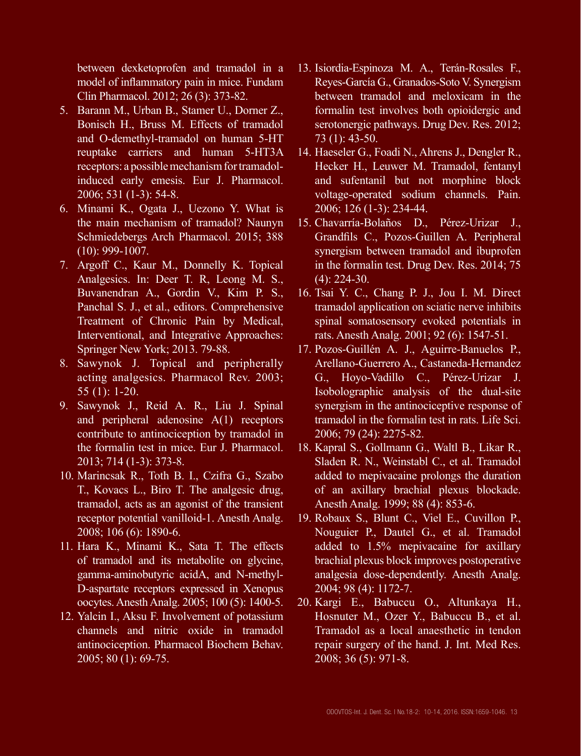between dexketoprofen and tramadol in a model of inflammatory pain in mice. Fundam Clin Pharmacol. 2012; 26 (3): 373-82.

- 5. Barann M., Urban B., Stamer U., Dorner Z., Bonisch H., Bruss M. Effects of tramadol and O-demethyl-tramadol on human 5-HT reuptake carriers and human 5-HT3A receptors: a possible mechanism for tramadolinduced early emesis. Eur J. Pharmacol. 2006; 531 (1-3): 54-8.
- 6. Minami K., Ogata J., Uezono Y. What is the main mechanism of tramadol? Naunyn Schmiedebergs Arch Pharmacol. 2015; 388 (10): 999-1007.
- 7. Argoff C., Kaur M., Donnelly K. Topical Analgesics. In: Deer T. R, Leong M. S., Buvanendran A., Gordin V., Kim P. S., Panchal S. J., et al., editors. Comprehensive Treatment of Chronic Pain by Medical, Interventional, and Integrative Approaches: Springer New York; 2013. 79-88.
- 8. Sawynok J. Topical and peripherally acting analgesics. Pharmacol Rev. 2003; 55 (1): 1-20.
- 9. Sawynok J., Reid A. R., Liu J. Spinal and peripheral adenosine A(1) receptors contribute to antinociception by tramadol in the formalin test in mice. Eur J. Pharmacol. 2013; 714 (1-3): 373-8.
- 10. Marincsak R., Toth B. I., Czifra G., Szabo T., Kovacs L., Biro T. The analgesic drug, tramadol, acts as an agonist of the transient receptor potential vanilloid-1. Anesth Analg. 2008; 106 (6): 1890-6.
- 11. Hara K., Minami K., Sata T. The effects of tramadol and its metabolite on glycine, gamma-aminobutyric acidA, and N-methyl-D-aspartate receptors expressed in Xenopus oocytes. Anesth Analg. 2005; 100 (5): 1400-5.
- 12. Yalcin I., Aksu F. Involvement of potassium channels and nitric oxide in tramadol antinociception. Pharmacol Biochem Behav. 2005; 80 (1): 69-75.
- 13. Isiordia-Espinoza M. A., Terán-Rosales F., Reyes-García G., Granados-Soto V. Synergism between tramadol and meloxicam in the formalin test involves both opioidergic and serotonergic pathways. Drug Dev. Res. 2012; 73 (1): 43-50.
- 14. Haeseler G., Foadi N., Ahrens J., Dengler R., Hecker H., Leuwer M. Tramadol, fentanyl and sufentanil but not morphine block voltage-operated sodium channels. Pain. 2006; 126 (1-3): 234-44.
- 15. Chavarría-Bolaños D., Pérez-Urizar J., Grandfils C., Pozos-Guillen A. Peripheral synergism between tramadol and ibuprofen in the formalin test. Drug Dev. Res. 2014; 75 (4): 224-30.
- 16. Tsai Y. C., Chang P. J., Jou I. M. Direct tramadol application on sciatic nerve inhibits spinal somatosensory evoked potentials in rats. Anesth Analg. 2001; 92 (6): 1547-51.
- 17. Pozos-Guillén A. J., Aguirre-Banuelos P., Arellano-Guerrero A., Castaneda-Hernandez G., Hoyo-Vadillo C., Pérez-Urizar J. Isobolographic analysis of the dual-site synergism in the antinociceptive response of tramadol in the formalin test in rats. Life Sci. 2006; 79 (24): 2275-82.
- 18. Kapral S., Gollmann G., Waltl B., Likar R., Sladen R. N., Weinstabl C., et al. Tramadol added to mepivacaine prolongs the duration of an axillary brachial plexus blockade. Anesth Analg. 1999; 88 (4): 853-6.
- 19. Robaux S., Blunt C., Viel E., Cuvillon P., Nouguier P., Dautel G., et al. Tramadol added to 1.5% mepivacaine for axillary brachial plexus block improves postoperative analgesia dose-dependently. Anesth Analg. 2004; 98 (4): 1172-7.
- 20. Kargi E., Babuccu O., Altunkaya H., Hosnuter M., Ozer Y., Babuccu B., et al. Tramadol as a local anaesthetic in tendon repair surgery of the hand. J. Int. Med Res. 2008; 36 (5): 971-8.